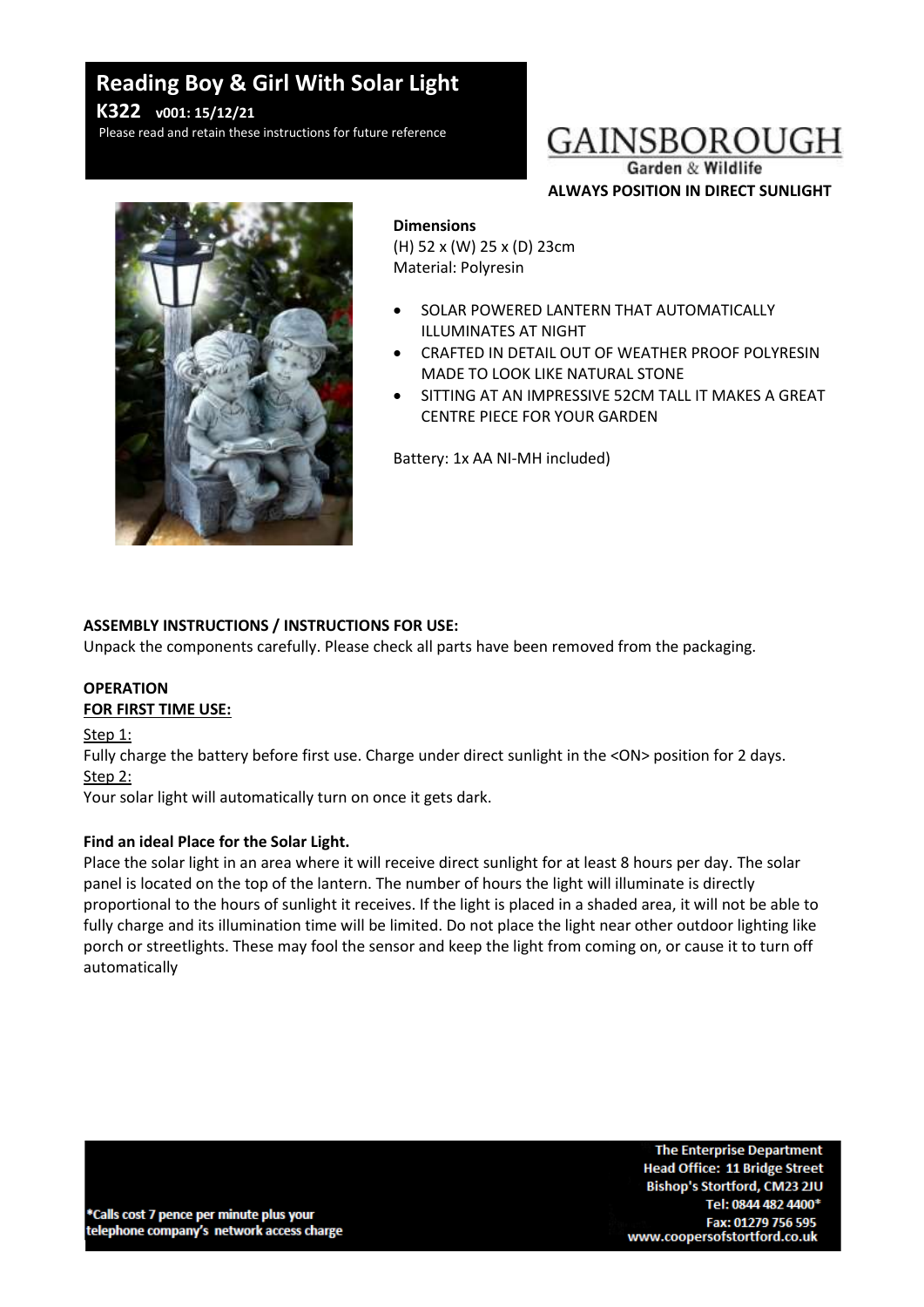# **Reading Boy & Girl With Solar Light K322 v001: 15/12/21**

Please read and retain these instructions for future reference

# GAINSBOROUGH

Garden & Wildlife **ALWAYS POSITION IN DIRECT SUNLIGHT**



#### **Dimensions**

(H) 52 x (W) 25 x (D) 23cm Material: Polyresin

- SOLAR POWERED LANTERN THAT AUTOMATICALLY ILLUMINATES AT NIGHT
- CRAFTED IN DETAIL OUT OF WEATHER PROOF POLYRESIN MADE TO LOOK LIKE NATURAL STONE
- SITTING AT AN IMPRESSIVE 52CM TALL IT MAKES A GREAT CENTRE PIECE FOR YOUR GARDEN

Battery: 1x AA NI-MH included)

# **ASSEMBLY INSTRUCTIONS / INSTRUCTIONS FOR USE:**

Unpack the components carefully. Please check all parts have been removed from the packaging.

### **OPERATION FOR FIRST TIME USE:**

Step 1:

Fully charge the battery before first use. Charge under direct sunlight in the <ON> position for 2 days. Step 2:

Your solar light will automatically turn on once it gets dark.

### **Find an ideal Place for the Solar Light.**

Place the solar light in an area where it will receive direct sunlight for at least 8 hours per day. The solar panel is located on the top of the lantern. The number of hours the light will illuminate is directly proportional to the hours of sunlight it receives. If the light is placed in a shaded area, it will not be able to fully charge and its illumination time will be limited. Do not place the light near other outdoor lighting like porch or streetlights. These may fool the sensor and keep the light from coming on, or cause it to turn off automatically

\*Calls cost 7 pence per minute plus your telephone company's network access charge

**The Enterprise Department Head Office: 11 Bridge Street** Bishop's Stortford, CM23 2JU Tel: 0844 482 4400\* Fax: 01279 756 595 www.coopersofstortford.co.uk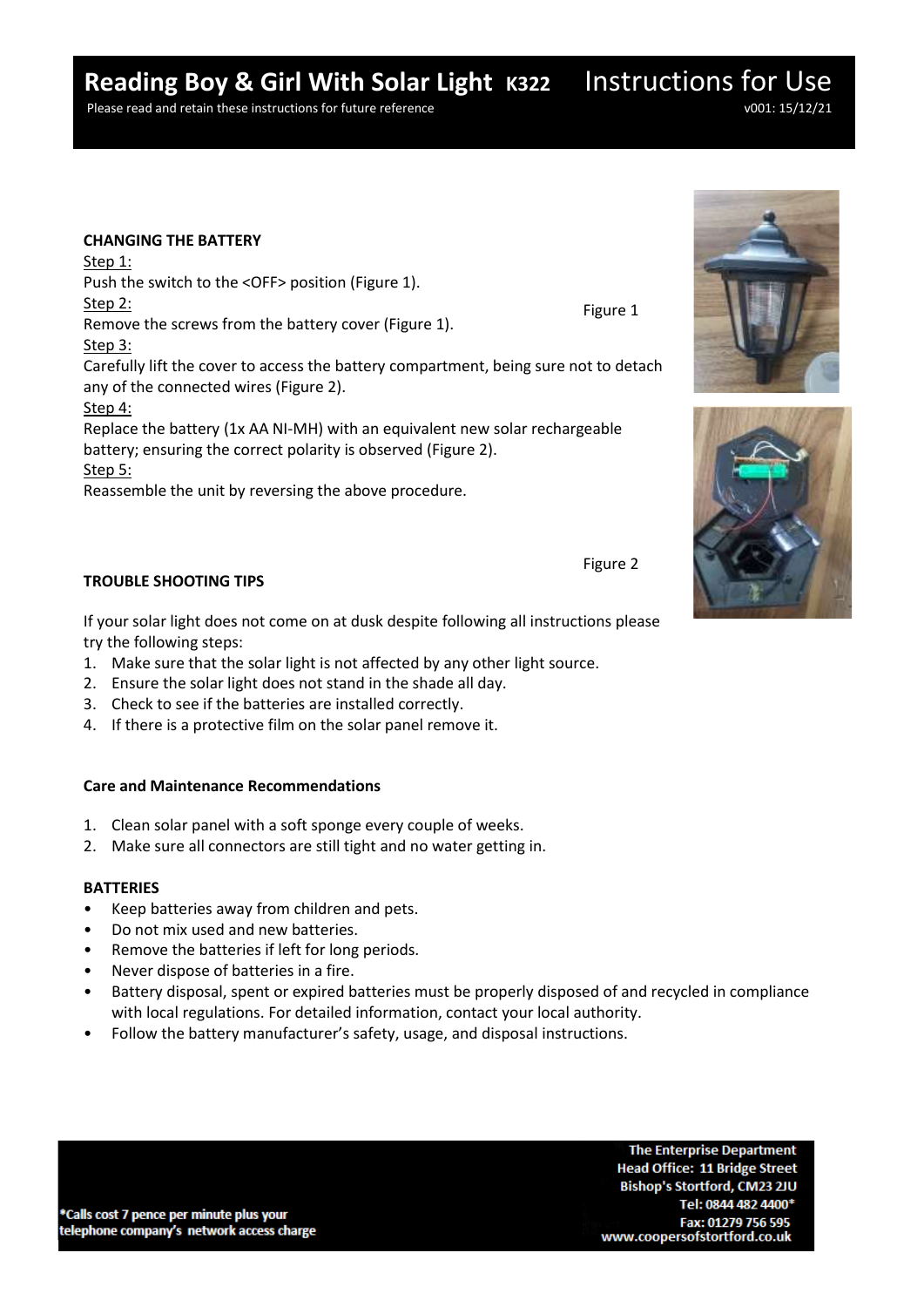# **Reading Boy & Girl With Solar Light K322** Instructions for Use

Please read and retain these instructions for future reference v001: 15/12/21

#### **CHANGING THE BATTERY**

Step 1:

Push the switch to the <OFF> position (Figure 1). Step 2:

Remove the screws from the battery cover (Figure 1).

### Step 3:

Carefully lift the cover to access the battery compartment, being sure not to detach any of the connected wires (Figure 2).

# Step 4:

Replace the battery (1x AA NI-MH) with an equivalent new solar rechargeable battery; ensuring the correct polarity is observed (Figure 2). Step 5:

Reassemble the unit by reversing the above procedure.

# **TROUBLE SHOOTING TIPS**

If your solar light does not come on at dusk despite following all instructions please try the following steps:

- 1. Make sure that the solar light is not affected by any other light source.
- 2. Ensure the solar light does not stand in the shade all day.
- 3. Check to see if the batteries are installed correctly.
- 4. If there is a protective film on the solar panel remove it.

# **Care and Maintenance Recommendations**

- 1. Clean solar panel with a soft sponge every couple of weeks.
- 2. Make sure all connectors are still tight and no water getting in.

# **BATTERIES**

- Keep batteries away from children and pets.
- Do not mix used and new batteries.
- Remove the batteries if left for long periods.
- Never dispose of batteries in a fire.
- Battery disposal, spent or expired batteries must be properly disposed of and recycled in compliance with local regulations. For detailed information, contact your local authority.
- Follow the battery manufacturer's safety, usage, and disposal instructions.





Figure 2

Figure 1

**The Enterprise Department Head Office: 11 Bridge Street** Bishop's Stortford, CM23 2JU Tel: 0844 482 4400\* Fax: 01279 756 595 www.coopersofstortford.co.uk

\*Calls cost 7 pence per minute plus your telephone company's network access charge